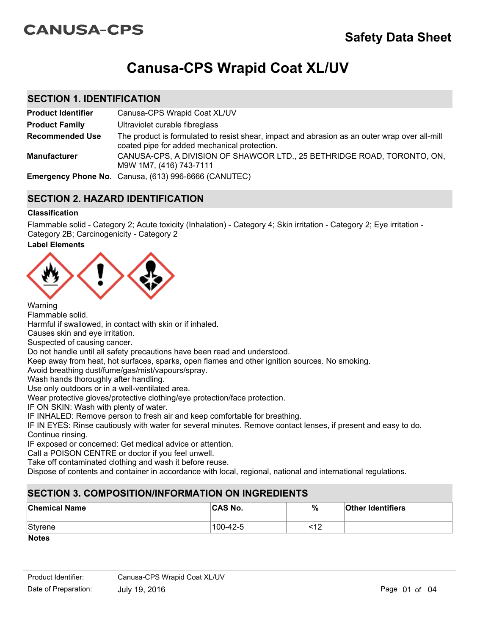# **CANUSA-CPS**

# **Canusa-CPS Wrapid Coat XL/UV**

## **SECTION 1. IDENTIFICATION**

| <b>Product Identifier</b> | Canusa-CPS Wrapid Coat XL/UV                                                                                                                  |
|---------------------------|-----------------------------------------------------------------------------------------------------------------------------------------------|
| <b>Product Family</b>     | Ultraviolet curable fibreglass                                                                                                                |
| <b>Recommended Use</b>    | The product is formulated to resist shear, impact and abrasion as an outer wrap over all-mill<br>coated pipe for added mechanical protection. |
| <b>Manufacturer</b>       | CANUSA-CPS, A DIVISION OF SHAWCOR LTD., 25 BETHRIDGE ROAD, TORONTO, ON,<br>M9W 1M7, (416) 743-7111                                            |
|                           | <b>Emergency Phone No.</b> Canusa, (613) 996-6666 (CANUTEC)                                                                                   |

# **SECTION 2. HAZARD IDENTIFICATION**

## **Classification**

Flammable solid - Category 2; Acute toxicity (Inhalation) - Category 4; Skin irritation - Category 2; Eye irritation - Category 2B; Carcinogenicity - Category 2

## **Label Elements**



Flammable solid. Harmful if swallowed, in contact with skin or if inhaled. Causes skin and eye irritation. Suspected of causing cancer. Do not handle until all safety precautions have been read and understood. Keep away from heat, hot surfaces, sparks, open flames and other ignition sources. No smoking. Avoid breathing dust/fume/gas/mist/vapours/spray. Wash hands thoroughly after handling. Use only outdoors or in a well-ventilated area. Wear protective gloves/protective clothing/eye protection/face protection. IF ON SKIN: Wash with plenty of water. IF INHALED: Remove person to fresh air and keep comfortable for breathing.

IF IN EYES: Rinse cautiously with water for several minutes. Remove contact lenses, if present and easy to do. Continue rinsing.

IF exposed or concerned: Get medical advice or attention.

Call a POISON CENTRE or doctor if you feel unwell.

Take off contaminated clothing and wash it before reuse.

Dispose of contents and container in accordance with local, regional, national and international regulations.

# **SECTION 3. COMPOSITION/INFORMATION ON INGREDIENTS**

| <b>Chemical Name</b>          | <b>CAS No.</b> | %        | <b>Other Identifiers</b> |
|-------------------------------|----------------|----------|--------------------------|
| Styrene                       | 100-42-5       | -10<br>′ |                          |
| $\mathbf{M}$ and $\mathbf{M}$ |                |          |                          |

**Notes**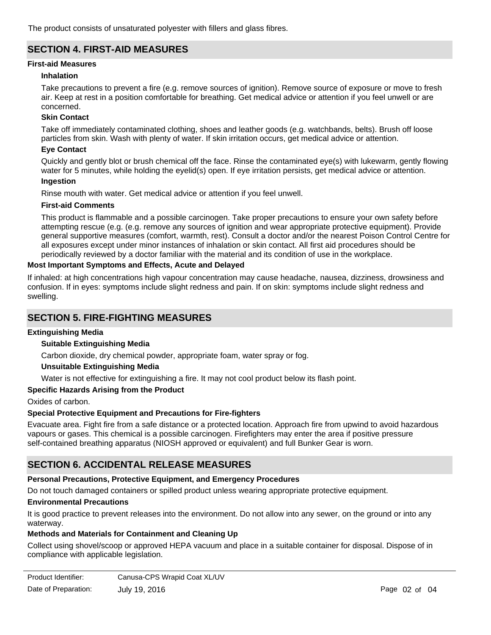The product consists of unsaturated polyester with fillers and glass fibres.

# **SECTION 4. FIRST-AID MEASURES**

### **First-aid Measures**

#### **Inhalation**

Take precautions to prevent a fire (e.g. remove sources of ignition). Remove source of exposure or move to fresh air. Keep at rest in a position comfortable for breathing. Get medical advice or attention if you feel unwell or are concerned.

#### **Skin Contact**

Take off immediately contaminated clothing, shoes and leather goods (e.g. watchbands, belts). Brush off loose particles from skin. Wash with plenty of water. If skin irritation occurs, get medical advice or attention.

#### **Eye Contact**

Quickly and gently blot or brush chemical off the face. Rinse the contaminated eye(s) with lukewarm, gently flowing water for 5 minutes, while holding the eyelid(s) open. If eye irritation persists, get medical advice or attention.

#### **Ingestion**

Rinse mouth with water. Get medical advice or attention if you feel unwell.

#### **First-aid Comments**

This product is flammable and a possible carcinogen. Take proper precautions to ensure your own safety before attempting rescue (e.g. (e.g. remove any sources of ignition and wear appropriate protective equipment). Provide general supportive measures (comfort, warmth, rest). Consult a doctor and/or the nearest Poison Control Centre for all exposures except under minor instances of inhalation or skin contact. All first aid procedures should be periodically reviewed by a doctor familiar with the material and its condition of use in the workplace.

#### **Most Important Symptoms and Effects, Acute and Delayed**

If inhaled: at high concentrations high vapour concentration may cause headache, nausea, dizziness, drowsiness and confusion. If in eyes: symptoms include slight redness and pain. If on skin: symptoms include slight redness and swelling.

# **SECTION 5. FIRE-FIGHTING MEASURES**

#### **Extinguishing Media**

#### **Suitable Extinguishing Media**

Carbon dioxide, dry chemical powder, appropriate foam, water spray or fog.

#### **Unsuitable Extinguishing Media**

Water is not effective for extinguishing a fire. It may not cool product below its flash point.

#### **Specific Hazards Arising from the Product**

Oxides of carbon.

#### **Special Protective Equipment and Precautions for Fire-fighters**

Evacuate area. Fight fire from a safe distance or a protected location. Approach fire from upwind to avoid hazardous vapours or gases. This chemical is a possible carcinogen. Firefighters may enter the area if positive pressure self-contained breathing apparatus (NIOSH approved or equivalent) and full Bunker Gear is worn.

# **SECTION 6. ACCIDENTAL RELEASE MEASURES**

## **Personal Precautions, Protective Equipment, and Emergency Procedures**

Do not touch damaged containers or spilled product unless wearing appropriate protective equipment.

#### **Environmental Precautions**

It is good practice to prevent releases into the environment. Do not allow into any sewer, on the ground or into any waterway.

## **Methods and Materials for Containment and Cleaning Up**

Collect using shovel/scoop or approved HEPA vacuum and place in a suitable container for disposal. Dispose of in compliance with applicable legislation.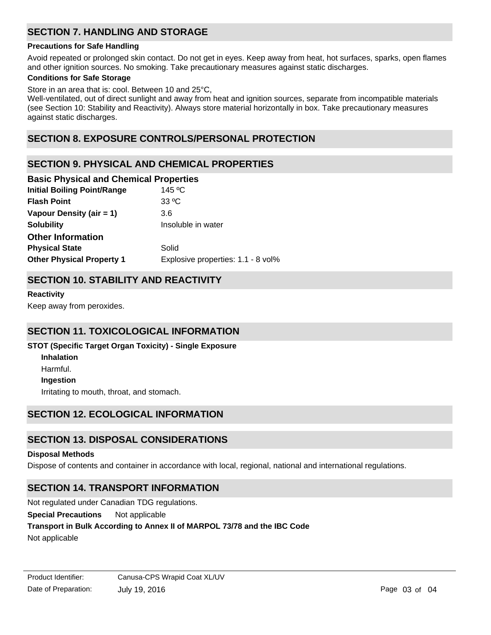# **SECTION 7. HANDLING AND STORAGE**

#### **Precautions for Safe Handling**

Avoid repeated or prolonged skin contact. Do not get in eyes. Keep away from heat, hot surfaces, sparks, open flames and other ignition sources. No smoking. Take precautionary measures against static discharges.

## **Conditions for Safe Storage**

Store in an area that is: cool. Between 10 and 25°C,

Well-ventilated, out of direct sunlight and away from heat and ignition sources, separate from incompatible materials (see Section 10: Stability and Reactivity). Always store material horizontally in box. Take precautionary measures against static discharges.

# **SECTION 8. EXPOSURE CONTROLS/PERSONAL PROTECTION**

# **SECTION 9. PHYSICAL AND CHEMICAL PROPERTIES**

| <b>Basic Physical and Chemical Properties</b> |  |  |  |  |
|-----------------------------------------------|--|--|--|--|
| 145 °C                                        |  |  |  |  |
| $33^{\circ}$ C                                |  |  |  |  |
| 3.6                                           |  |  |  |  |
| Insoluble in water                            |  |  |  |  |
|                                               |  |  |  |  |
| Solid                                         |  |  |  |  |
| Explosive properties: 1.1 - 8 vol%            |  |  |  |  |
|                                               |  |  |  |  |

# **SECTION 10. STABILITY AND REACTIVITY**

**Reactivity**

Keep away from peroxides.

# **SECTION 11. TOXICOLOGICAL INFORMATION**

## **STOT (Specific Target Organ Toxicity) - Single Exposure**

**Inhalation** Harmful. **Ingestion** Irritating to mouth, throat, and stomach.

# **SECTION 12. ECOLOGICAL INFORMATION**

# **SECTION 13. DISPOSAL CONSIDERATIONS**

#### **Disposal Methods**

Dispose of contents and container in accordance with local, regional, national and international regulations.

# **SECTION 14. TRANSPORT INFORMATION**

Not regulated under Canadian TDG regulations.

#### **Special Precautions** Not applicable

## **Transport in Bulk According to Annex II of MARPOL 73/78 and the IBC Code**

Not applicable